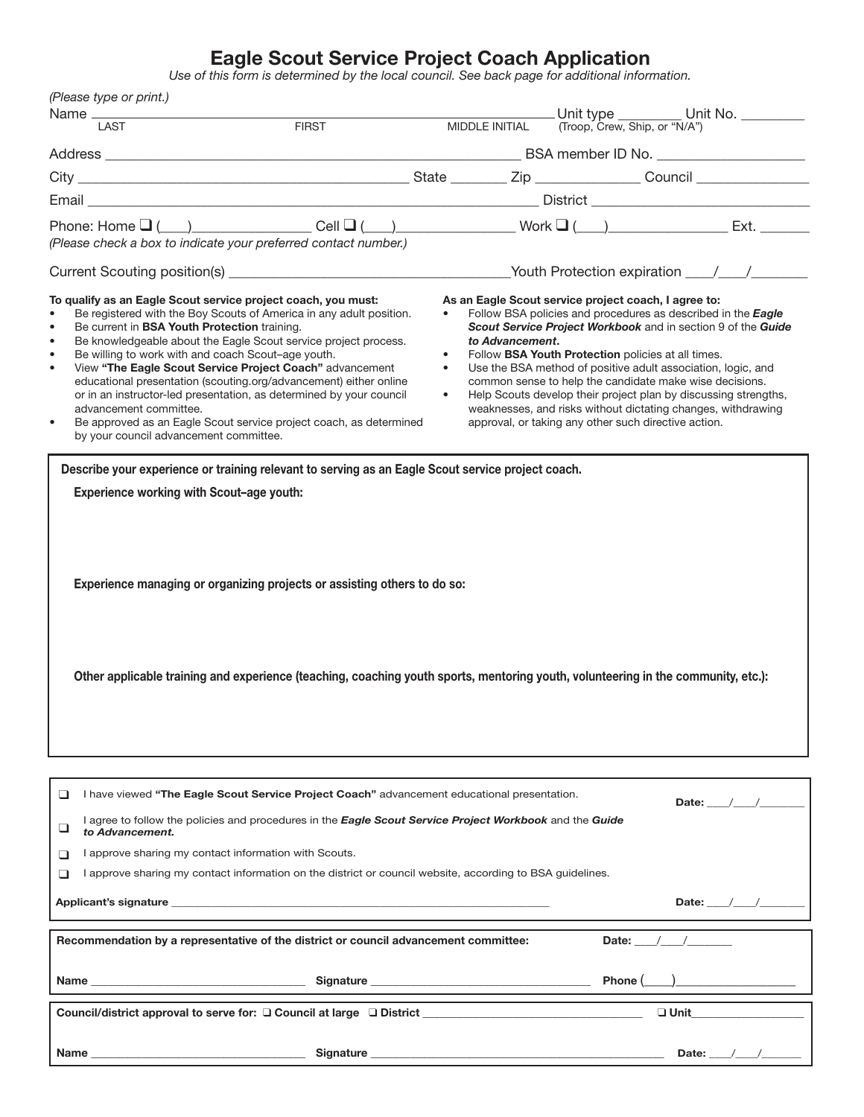## Eagle Scout Service Project Coach Application

*Use of this form is determined by the local council. See back page for additional information.*

| (Please type or print.)                                                                                                                                                                                                                                                                                                                                                                                                                                                                                                                                                                                                                                                                                                                                                                                                                                                                                                                                                                  |              |                                                  |                 |         |                                                                                                                                                                                                                                                                                                                                                                                                                                                                                                                                                                  |  |
|------------------------------------------------------------------------------------------------------------------------------------------------------------------------------------------------------------------------------------------------------------------------------------------------------------------------------------------------------------------------------------------------------------------------------------------------------------------------------------------------------------------------------------------------------------------------------------------------------------------------------------------------------------------------------------------------------------------------------------------------------------------------------------------------------------------------------------------------------------------------------------------------------------------------------------------------------------------------------------------|--------------|--------------------------------------------------|-----------------|---------|------------------------------------------------------------------------------------------------------------------------------------------------------------------------------------------------------------------------------------------------------------------------------------------------------------------------------------------------------------------------------------------------------------------------------------------------------------------------------------------------------------------------------------------------------------------|--|
| Name _____<br>LAST                                                                                                                                                                                                                                                                                                                                                                                                                                                                                                                                                                                                                                                                                                                                                                                                                                                                                                                                                                       | <b>FIRST</b> |                                                  | MIDDLE INITIAL  |         |                                                                                                                                                                                                                                                                                                                                                                                                                                                                                                                                                                  |  |
|                                                                                                                                                                                                                                                                                                                                                                                                                                                                                                                                                                                                                                                                                                                                                                                                                                                                                                                                                                                          |              |                                                  |                 |         |                                                                                                                                                                                                                                                                                                                                                                                                                                                                                                                                                                  |  |
|                                                                                                                                                                                                                                                                                                                                                                                                                                                                                                                                                                                                                                                                                                                                                                                                                                                                                                                                                                                          |              |                                                  |                 |         |                                                                                                                                                                                                                                                                                                                                                                                                                                                                                                                                                                  |  |
|                                                                                                                                                                                                                                                                                                                                                                                                                                                                                                                                                                                                                                                                                                                                                                                                                                                                                                                                                                                          |              |                                                  |                 |         |                                                                                                                                                                                                                                                                                                                                                                                                                                                                                                                                                                  |  |
|                                                                                                                                                                                                                                                                                                                                                                                                                                                                                                                                                                                                                                                                                                                                                                                                                                                                                                                                                                                          |              |                                                  |                 |         |                                                                                                                                                                                                                                                                                                                                                                                                                                                                                                                                                                  |  |
| (Please check a box to indicate your preferred contact number.)                                                                                                                                                                                                                                                                                                                                                                                                                                                                                                                                                                                                                                                                                                                                                                                                                                                                                                                          |              |                                                  |                 |         |                                                                                                                                                                                                                                                                                                                                                                                                                                                                                                                                                                  |  |
|                                                                                                                                                                                                                                                                                                                                                                                                                                                                                                                                                                                                                                                                                                                                                                                                                                                                                                                                                                                          |              |                                                  |                 |         |                                                                                                                                                                                                                                                                                                                                                                                                                                                                                                                                                                  |  |
| To qualify as an Eagle Scout service project coach, you must:<br>Be registered with the Boy Scouts of America in any adult position.<br>$\bullet$<br>Be current in <b>BSA Youth Protection</b> training.<br>$\bullet$<br>Be knowledgeable about the Eagle Scout service project process.<br>$\bullet$<br>Be willing to work with and coach Scout-age youth.<br>$\bullet$<br>View "The Eagle Scout Service Project Coach" advancement<br>$\bullet$<br>educational presentation (scouting.org/advancement) either online<br>or in an instructor-led presentation, as determined by your council<br>advancement committee.<br>Be approved as an Eagle Scout service project coach, as determined<br>$\bullet$<br>by your council advancement committee.<br>Describe your experience or training relevant to serving as an Eagle Scout service project coach.<br><b>Experience working with Scout-age youth:</b><br>Experience managing or organizing projects or assisting others to do so: |              | $\bullet$<br>$\bullet$<br>$\bullet$<br>$\bullet$ | to Advancement. |         | As an Eagle Scout service project coach, I agree to:<br>Follow BSA policies and procedures as described in the Eagle<br>Scout Service Project Workbook and in section 9 of the Guide<br>Follow BSA Youth Protection policies at all times.<br>Use the BSA method of positive adult association, logic, and<br>common sense to help the candidate make wise decisions.<br>Help Scouts develop their project plan by discussing strengths,<br>weaknesses, and risks without dictating changes, withdrawing<br>approval, or taking any other such directive action. |  |
| Other applicable training and experience (teaching, coaching youth sports, mentoring youth, volunteering in the community, etc.):                                                                                                                                                                                                                                                                                                                                                                                                                                                                                                                                                                                                                                                                                                                                                                                                                                                        |              |                                                  |                 |         |                                                                                                                                                                                                                                                                                                                                                                                                                                                                                                                                                                  |  |
|                                                                                                                                                                                                                                                                                                                                                                                                                                                                                                                                                                                                                                                                                                                                                                                                                                                                                                                                                                                          |              |                                                  |                 |         |                                                                                                                                                                                                                                                                                                                                                                                                                                                                                                                                                                  |  |
| I have viewed "The Eagle Scout Service Project Coach" advancement educational presentation.<br>❏<br>Date: $/$ /<br>I agree to follow the policies and procedures in the <b>Eagle Scout Service Project Workbook</b> and the <b>Guide</b><br>⊔<br>to Advancement.<br>I approve sharing my contact information with Scouts.<br>▭                                                                                                                                                                                                                                                                                                                                                                                                                                                                                                                                                                                                                                                           |              |                                                  |                 |         |                                                                                                                                                                                                                                                                                                                                                                                                                                                                                                                                                                  |  |
| I approve sharing my contact information on the district or council website, according to BSA guidelines.<br>▭                                                                                                                                                                                                                                                                                                                                                                                                                                                                                                                                                                                                                                                                                                                                                                                                                                                                           |              |                                                  |                 |         |                                                                                                                                                                                                                                                                                                                                                                                                                                                                                                                                                                  |  |
|                                                                                                                                                                                                                                                                                                                                                                                                                                                                                                                                                                                                                                                                                                                                                                                                                                                                                                                                                                                          |              |                                                  |                 |         | Date: $\frac{1}{2}$ /                                                                                                                                                                                                                                                                                                                                                                                                                                                                                                                                            |  |
| Date: $/$ /<br>Recommendation by a representative of the district or council advancement committee:                                                                                                                                                                                                                                                                                                                                                                                                                                                                                                                                                                                                                                                                                                                                                                                                                                                                                      |              |                                                  |                 |         |                                                                                                                                                                                                                                                                                                                                                                                                                                                                                                                                                                  |  |
|                                                                                                                                                                                                                                                                                                                                                                                                                                                                                                                                                                                                                                                                                                                                                                                                                                                                                                                                                                                          |              |                                                  |                 |         |                                                                                                                                                                                                                                                                                                                                                                                                                                                                                                                                                                  |  |
|                                                                                                                                                                                                                                                                                                                                                                                                                                                                                                                                                                                                                                                                                                                                                                                                                                                                                                                                                                                          |              |                                                  |                 | Phone ( |                                                                                                                                                                                                                                                                                                                                                                                                                                                                                                                                                                  |  |
| Council/district approval to serve for: $\square$ Council at large $\square$ District $\square$<br>$\Box$ Unit                                                                                                                                                                                                                                                                                                                                                                                                                                                                                                                                                                                                                                                                                                                                                                                                                                                                           |              |                                                  |                 |         |                                                                                                                                                                                                                                                                                                                                                                                                                                                                                                                                                                  |  |
| Name ____<br><u> 1989 - Johann Barn, fransk politik (d. 1989)</u>                                                                                                                                                                                                                                                                                                                                                                                                                                                                                                                                                                                                                                                                                                                                                                                                                                                                                                                        |              |                                                  |                 |         | Date: $\_\_\_\_\_\_\_\_\_\_\_\_\_\_\_\_\_\_\_\_$                                                                                                                                                                                                                                                                                                                                                                                                                                                                                                                 |  |